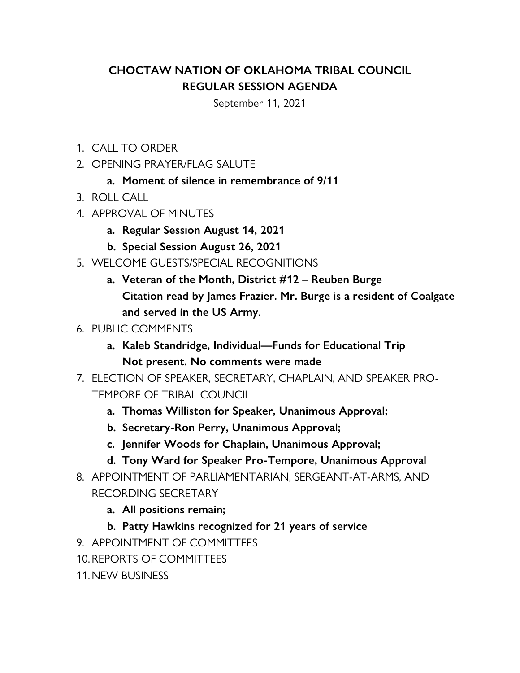## **CHOCTAW NATION OF OKLAHOMA TRIBAL COUNCIL REGULAR SESSION AGENDA**

September 11, 2021

- 1. CALL TO ORDER
- 2. OPENING PRAYER/FLAG SALUTE
	- **a. Moment of silence in remembrance of 9/11**
- 3. ROLL CALL
- 4. APPROVAL OF MINUTES
	- **a. Regular Session August 14, 2021**
	- **b. Special Session August 26, 2021**
- 5. WELCOME GUESTS/SPECIAL RECOGNITIONS
	- **a. Veteran of the Month, District #12 Reuben Burge Citation read by James Frazier. Mr. Burge is a resident of Coalgate and served in the US Army.**
- 6. PUBLIC COMMENTS
	- **a. Kaleb Standridge, Individual—Funds for Educational Trip Not present. No comments were made**
- 7. ELECTION OF SPEAKER, SECRETARY, CHAPLAIN, AND SPEAKER PRO-TEMPORE OF TRIBAL COUNCIL
	- **a. Thomas Williston for Speaker, Unanimous Approval;**
	- **b. Secretary-Ron Perry, Unanimous Approval;**
	- **c. Jennifer Woods for Chaplain, Unanimous Approval;**
	- **d. Tony Ward for Speaker Pro-Tempore, Unanimous Approval**
- 8. APPOINTMENT OF PARLIAMENTARIAN, SERGEANT-AT-ARMS, AND RECORDING SECRETARY
	- **a. All positions remain;**
	- **b. Patty Hawkins recognized for 21 years of service**
- 9. APPOINTMENT OF COMMITTEES
- 10.REPORTS OF COMMITTEES
- 11.NEW BUSINESS